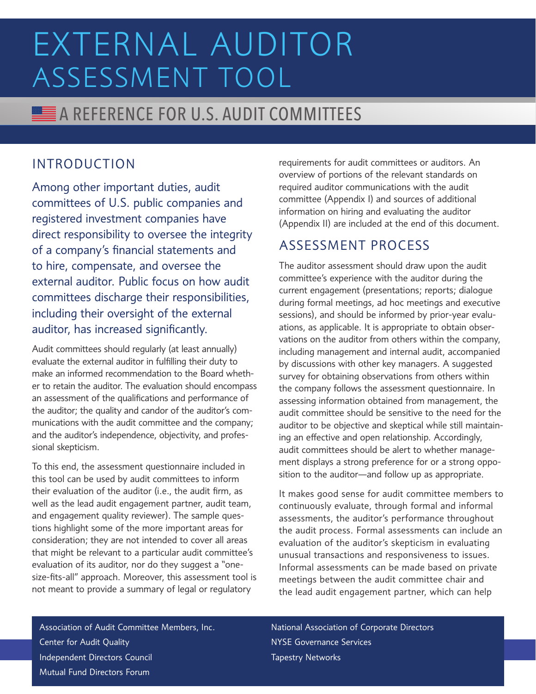# **A REFERENCE FOR U.S. AUDIT COMMITTEES**

#### INTRODUCTION

Among other important duties, audit committees of U.S. public companies and registered investment companies have direct responsibility to oversee the integrity of a company's financial statements and to hire, compensate, and oversee the external auditor. Public focus on how audit committees discharge their responsibilities, including their oversight of the external auditor, has increased significantly.

Audit committees should regularly (at least annually) evaluate the external auditor in fulfilling their duty to make an informed recommendation to the Board whether to retain the auditor. The evaluation should encompass an assessment of the qualifications and performance of the auditor; the quality and candor of the auditor's communications with the audit committee and the company; and the auditor's independence, objectivity, and professional skepticism.

To this end, the assessment questionnaire included in this tool can be used by audit committees to inform their evaluation of the auditor (i.e., the audit firm, as well as the lead audit engagement partner, audit team, and engagement quality reviewer). The sample questions highlight some of the more important areas for consideration; they are not intended to cover all areas that might be relevant to a particular audit committee's evaluation of its auditor, nor do they suggest a "onesize-fits-all" approach. Moreover, this assessment tool is not meant to provide a summary of legal or regulatory

requirements for audit committees or auditors. An overview of portions of the relevant standards on required auditor communications with the audit committee (Appendix I) and sources of additional information on hiring and evaluating the auditor (Appendix II) are included at the end of this document.

#### ASSESSMENT PROCESS

The auditor assessment should draw upon the audit committee's experience with the auditor during the current engagement (presentations; reports; dialogue during formal meetings, ad hoc meetings and executive sessions), and should be informed by prior-year evaluations, as applicable. It is appropriate to obtain observations on the auditor from others within the company, including management and internal audit, accompanied by discussions with other key managers. A suggested survey for obtaining observations from others within the company follows the assessment questionnaire. In assessing information obtained from management, the audit committee should be sensitive to the need for the auditor to be objective and skeptical while still maintaining an effective and open relationship. Accordingly, audit committees should be alert to whether management displays a strong preference for or a strong opposition to the auditor—and follow up as appropriate.

It makes good sense for audit committee members to continuously evaluate, through formal and informal assessments, the auditor's performance throughout the audit process. Formal assessments can include an evaluation of the auditor's skepticism in evaluating unusual transactions and responsiveness to issues. Informal assessments can be made based on private meetings between the audit committee chair and the lead audit engagement partner, which can help

Association of Audit Committee Members, Inc. Center for Audit Quality Independent Directors Council Mutual Fund Directors Forum

National Association of Corporate Directors NYSE Governance Services Tapestry Networks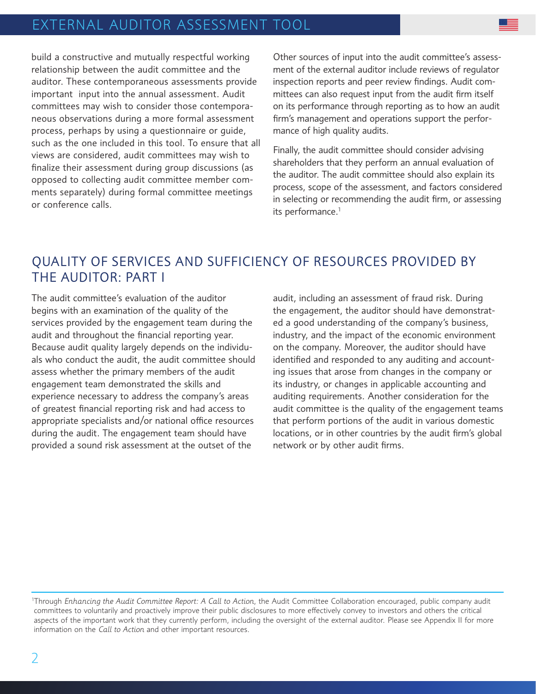build a constructive and mutually respectful working relationship between the audit committee and the auditor. These contemporaneous assessments provide important input into the annual assessment. Audit committees may wish to consider those contemporaneous observations during a more formal assessment process, perhaps by using a questionnaire or guide, such as the one included in this tool. To ensure that all views are considered, audit committees may wish to finalize their assessment during group discussions (as opposed to collecting audit committee member comments separately) during formal committee meetings or conference calls.

Other sources of input into the audit committee's assessment of the external auditor include reviews of regulator inspection reports and peer review findings. Audit committees can also request input from the audit firm itself on its performance through reporting as to how an audit firm's management and operations support the performance of high quality audits.

Finally, the audit committee should consider advising shareholders that they perform an annual evaluation of the auditor. The audit committee should also explain its process, scope of the assessment, and factors considered in selecting or recommending the audit firm, or assessing its performance.<sup>1</sup>

#### QUALITY OF SERVICES AND SUFFICIENCY OF RESOURCES PROVIDED BY THE AUDITOR: PART I

The audit committee's evaluation of the auditor begins with an examination of the quality of the services provided by the engagement team during the audit and throughout the financial reporting year. Because audit quality largely depends on the individuals who conduct the audit, the audit committee should assess whether the primary members of the audit engagement team demonstrated the skills and experience necessary to address the company's areas of greatest financial reporting risk and had access to appropriate specialists and/or national office resources during the audit. The engagement team should have provided a sound risk assessment at the outset of the

audit, including an assessment of fraud risk. During the engagement, the auditor should have demonstrated a good understanding of the company's business, industry, and the impact of the economic environment on the company. Moreover, the auditor should have identified and responded to any auditing and accounting issues that arose from changes in the company or its industry, or changes in applicable accounting and auditing requirements. Another consideration for the audit committee is the quality of the engagement teams that perform portions of the audit in various domestic locations, or in other countries by the audit firm's global network or by other audit firms.

<sup>1</sup> Through *Enhancing the Audit Committee Report: A Call to Action*, the Audit Committee Collaboration encouraged, public company audit committees to voluntarily and proactively improve their public disclosures to more effectively convey to investors and others the critical aspects of the important work that they currently perform, including the oversight of the external auditor. Please see Appendix II for more information on the *Call to Action* and other important resources.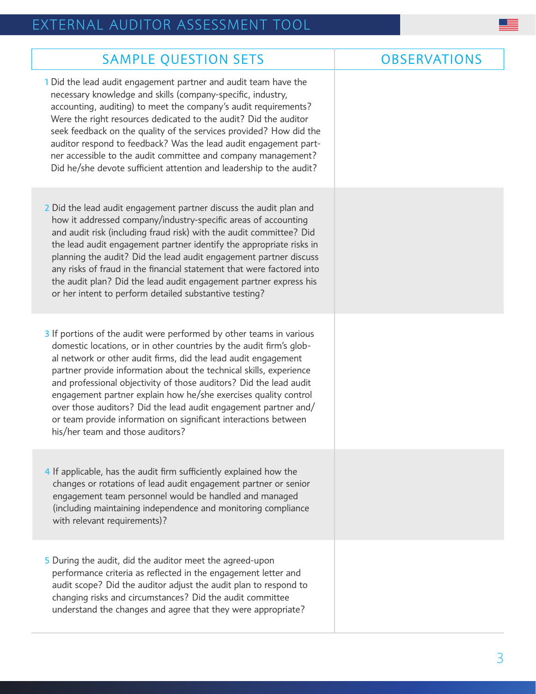| <b>SAMPLE QUESTION SETS</b>                                                                                                                                                                                                                                                                                                                                                                                                                                                                                                                                                                           | <b>OBSERVATIONS</b> |
|-------------------------------------------------------------------------------------------------------------------------------------------------------------------------------------------------------------------------------------------------------------------------------------------------------------------------------------------------------------------------------------------------------------------------------------------------------------------------------------------------------------------------------------------------------------------------------------------------------|---------------------|
| 1 Did the lead audit engagement partner and audit team have the<br>necessary knowledge and skills (company-specific, industry,<br>accounting, auditing) to meet the company's audit requirements?<br>Were the right resources dedicated to the audit? Did the auditor<br>seek feedback on the quality of the services provided? How did the<br>auditor respond to feedback? Was the lead audit engagement part-<br>ner accessible to the audit committee and company management?<br>Did he/she devote sufficient attention and leadership to the audit?                                               |                     |
| 2 Did the lead audit engagement partner discuss the audit plan and<br>how it addressed company/industry-specific areas of accounting<br>and audit risk (including fraud risk) with the audit committee? Did<br>the lead audit engagement partner identify the appropriate risks in<br>planning the audit? Did the lead audit engagement partner discuss<br>any risks of fraud in the financial statement that were factored into<br>the audit plan? Did the lead audit engagement partner express his<br>or her intent to perform detailed substantive testing?                                       |                     |
| 3 If portions of the audit were performed by other teams in various<br>domestic locations, or in other countries by the audit firm's glob-<br>al network or other audit firms, did the lead audit engagement<br>partner provide information about the technical skills, experience<br>and professional objectivity of those auditors? Did the lead audit<br>engagement partner explain how he/she exercises quality control<br>over those auditors? Did the lead audit engagement partner and/<br>or team provide information on significant interactions between<br>his/her team and those auditors? |                     |
| 4 If applicable, has the audit firm sufficiently explained how the<br>changes or rotations of lead audit engagement partner or senior<br>engagement team personnel would be handled and managed<br>(including maintaining independence and monitoring compliance<br>with relevant requirements)?                                                                                                                                                                                                                                                                                                      |                     |
| 5 During the audit, did the auditor meet the agreed-upon<br>performance criteria as reflected in the engagement letter and<br>audit scope? Did the auditor adjust the audit plan to respond to<br>changing risks and circumstances? Did the audit committee<br>understand the changes and agree that they were appropriate?                                                                                                                                                                                                                                                                           |                     |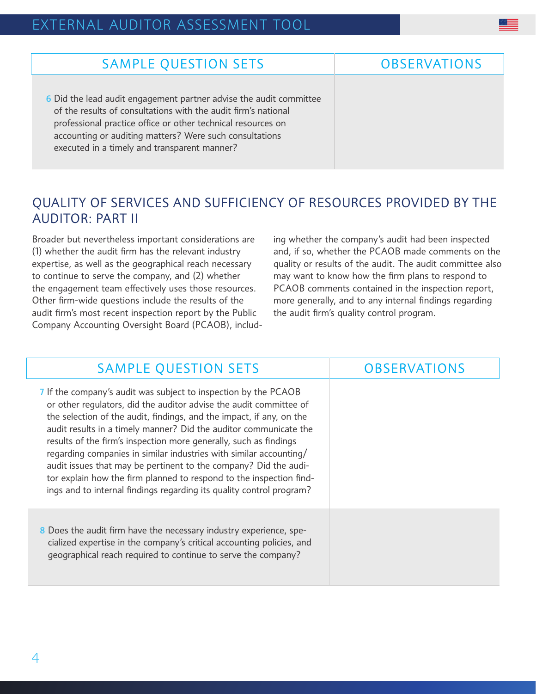#### SAMPLE QUESTION SETS **CONSERVATIONS**

6 Did the lead audit engagement partner advise the audit committee of the results of consultations with the audit firm's national professional practice office or other technical resources on accounting or auditing matters? Were such consultations executed in a timely and transparent manner?

#### QUALITY OF SERVICES AND SUFFICIENCY OF RESOURCES PROVIDED BY THE AUDITOR: PART II

Broader but nevertheless important considerations are (1) whether the audit firm has the relevant industry expertise, as well as the geographical reach necessary to continue to serve the company, and (2) whether the engagement team effectively uses those resources. Other firm-wide questions include the results of the audit firm's most recent inspection report by the Public Company Accounting Oversight Board (PCAOB), including whether the company's audit had been inspected and, if so, whether the PCAOB made comments on the quality or results of the audit. The audit committee also may want to know how the firm plans to respond to PCAOB comments contained in the inspection report, more generally, and to any internal findings regarding the audit firm's quality control program.

#### SAMPLE QUESTION SETS **OBSERVATIONS**

- 7 If the company's audit was subject to inspection by the PCAOB or other regulators, did the auditor advise the audit committee of the selection of the audit, findings, and the impact, if any, on the audit results in a timely manner? Did the auditor communicate the results of the firm's inspection more generally, such as findings regarding companies in similar industries with similar accounting/ audit issues that may be pertinent to the company? Did the auditor explain how the firm planned to respond to the inspection findings and to internal findings regarding its quality control program?
- 8 Does the audit firm have the necessary industry experience, specialized expertise in the company's critical accounting policies, and geographical reach required to continue to serve the company?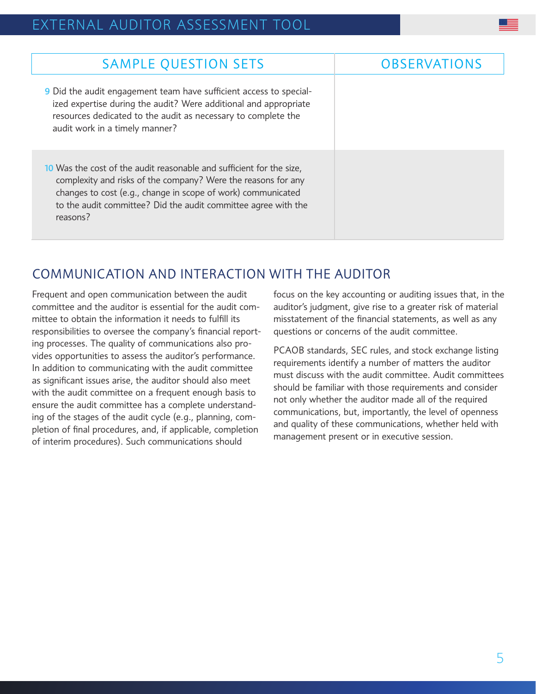| <b>SAMPLE QUESTION SETS</b>                                                                                                                                                                                                                                                         | <b>OBSERVATIONS</b> |
|-------------------------------------------------------------------------------------------------------------------------------------------------------------------------------------------------------------------------------------------------------------------------------------|---------------------|
| 9 Did the audit engagement team have sufficient access to special-<br>ized expertise during the audit? Were additional and appropriate<br>resources dedicated to the audit as necessary to complete the<br>audit work in a timely manner?                                           |                     |
| 10 Was the cost of the audit reasonable and sufficient for the size,<br>complexity and risks of the company? Were the reasons for any<br>changes to cost (e.g., change in scope of work) communicated<br>to the audit committee? Did the audit committee agree with the<br>reasons? |                     |

#### COMMUNICATION AND INTERACTION WITH THE AUDITOR

Frequent and open communication between the audit committee and the auditor is essential for the audit committee to obtain the information it needs to fulfill its responsibilities to oversee the company's financial reporting processes. The quality of communications also provides opportunities to assess the auditor's performance. In addition to communicating with the audit committee as significant issues arise, the auditor should also meet with the audit committee on a frequent enough basis to ensure the audit committee has a complete understanding of the stages of the audit cycle (e.g., planning, completion of final procedures, and, if applicable, completion of interim procedures). Such communications should

focus on the key accounting or auditing issues that, in the auditor's judgment, give rise to a greater risk of material misstatement of the financial statements, as well as any questions or concerns of the audit committee.

PCAOB standards, SEC rules, and stock exchange listing requirements identify a number of matters the auditor must discuss with the audit committee. Audit committees should be familiar with those requirements and consider not only whether the auditor made all of the required communications, but, importantly, the level of openness and quality of these communications, whether held with management present or in executive session.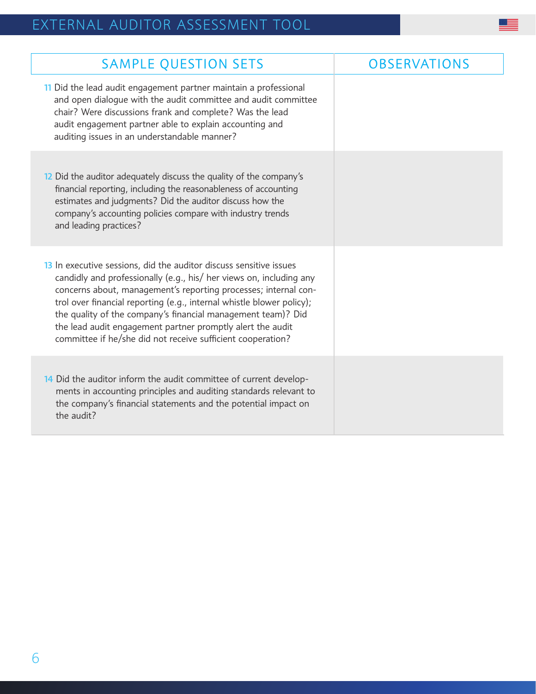| <b>SAMPLE QUESTION SETS</b>                                                                                                                                                                                                                                                                                                                                                                                                                                                        | <b>OBSERVATIONS</b> |
|------------------------------------------------------------------------------------------------------------------------------------------------------------------------------------------------------------------------------------------------------------------------------------------------------------------------------------------------------------------------------------------------------------------------------------------------------------------------------------|---------------------|
| 11 Did the lead audit engagement partner maintain a professional<br>and open dialogue with the audit committee and audit committee<br>chair? Were discussions frank and complete? Was the lead<br>audit engagement partner able to explain accounting and<br>auditing issues in an understandable manner?                                                                                                                                                                          |                     |
| 12 Did the auditor adequately discuss the quality of the company's<br>financial reporting, including the reasonableness of accounting<br>estimates and judgments? Did the auditor discuss how the<br>company's accounting policies compare with industry trends<br>and leading practices?                                                                                                                                                                                          |                     |
| 13 In executive sessions, did the auditor discuss sensitive issues<br>candidly and professionally (e.g., his/ her views on, including any<br>concerns about, management's reporting processes; internal con-<br>trol over financial reporting (e.g., internal whistle blower policy);<br>the quality of the company's financial management team)? Did<br>the lead audit engagement partner promptly alert the audit<br>committee if he/she did not receive sufficient cooperation? |                     |
| 14 Did the auditor inform the audit committee of current develop-<br>ments in accounting principles and auditing standards relevant to<br>the company's financial statements and the potential impact on<br>the audit?                                                                                                                                                                                                                                                             |                     |

E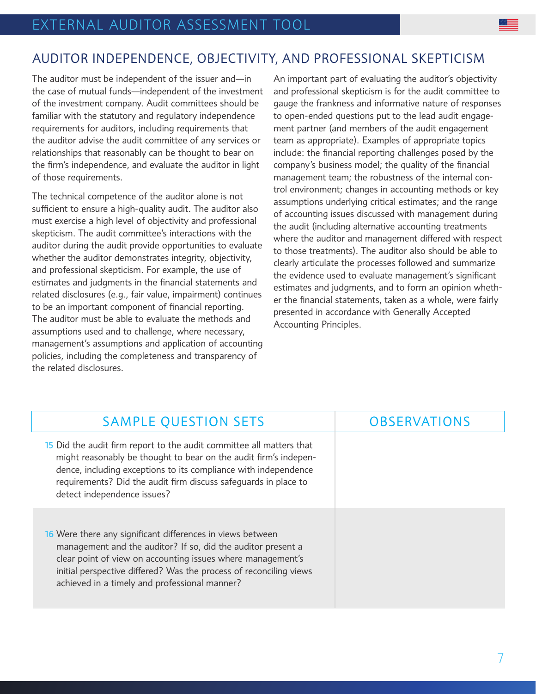#### AUDITOR INDEPENDENCE, OBJECTIVITY, AND PROFESSIONAL SKEPTICISM

The auditor must be independent of the issuer and—in the case of mutual funds—independent of the investment of the investment company. Audit committees should be familiar with the statutory and regulatory independence requirements for auditors, including requirements that the auditor advise the audit committee of any services or relationships that reasonably can be thought to bear on the firm's independence, and evaluate the auditor in light of those requirements.

The technical competence of the auditor alone is not sufficient to ensure a high-quality audit. The auditor also must exercise a high level of objectivity and professional skepticism. The audit committee's interactions with the auditor during the audit provide opportunities to evaluate whether the auditor demonstrates integrity, objectivity, and professional skepticism. For example, the use of estimates and judgments in the financial statements and related disclosures (e.g., fair value, impairment) continues to be an important component of financial reporting. The auditor must be able to evaluate the methods and assumptions used and to challenge, where necessary, management's assumptions and application of accounting policies, including the completeness and transparency of the related disclosures.

An important part of evaluating the auditor's objectivity and professional skepticism is for the audit committee to gauge the frankness and informative nature of responses to open-ended questions put to the lead audit engagement partner (and members of the audit engagement team as appropriate). Examples of appropriate topics include: the financial reporting challenges posed by the company's business model; the quality of the financial management team; the robustness of the internal control environment; changes in accounting methods or key assumptions underlying critical estimates; and the range of accounting issues discussed with management during the audit (including alternative accounting treatments where the auditor and management differed with respect to those treatments). The auditor also should be able to clearly articulate the processes followed and summarize the evidence used to evaluate management's significant estimates and judgments, and to form an opinion whether the financial statements, taken as a whole, were fairly presented in accordance with Generally Accepted Accounting Principles.

| <b>SAMPLE QUESTION SETS</b>                                                                                                                                                                                                                                                                                      | <b>OBSERVATIONS</b> |
|------------------------------------------------------------------------------------------------------------------------------------------------------------------------------------------------------------------------------------------------------------------------------------------------------------------|---------------------|
| 15 Did the audit firm report to the audit committee all matters that<br>might reasonably be thought to bear on the audit firm's indepen-<br>dence, including exceptions to its compliance with independence<br>requirements? Did the audit firm discuss safeguards in place to<br>detect independence issues?    |                     |
| 16 Were there any significant differences in views between<br>management and the auditor? If so, did the auditor present a<br>clear point of view on accounting issues where management's<br>initial perspective differed? Was the process of reconciling views<br>achieved in a timely and professional manner? |                     |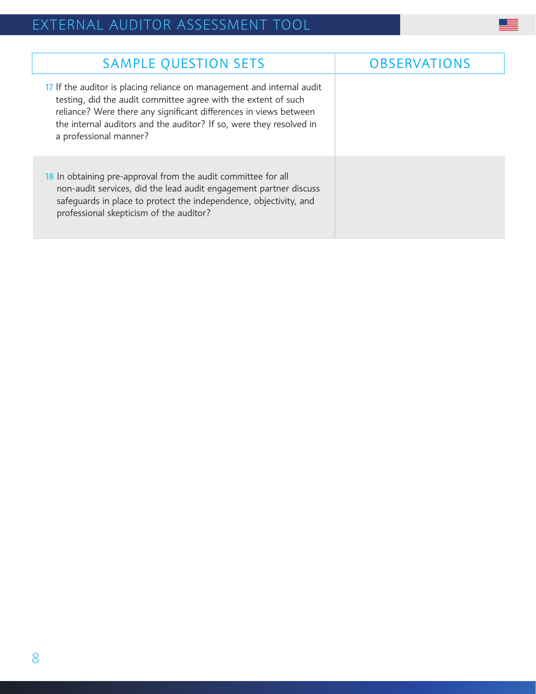| <b>SAMPLE QUESTION SETS</b>                                                                                                                                                                                                                                                                                    | <b>OBSERVATIONS</b> |
|----------------------------------------------------------------------------------------------------------------------------------------------------------------------------------------------------------------------------------------------------------------------------------------------------------------|---------------------|
| 17 If the auditor is placing reliance on management and internal audit<br>testing, did the audit committee agree with the extent of such<br>reliance? Were there any significant differences in views between<br>the internal auditors and the auditor? If so, were they resolved in<br>a professional manner? |                     |
| 18 In obtaining pre-approval from the audit committee for all<br>non-audit services, did the lead audit engagement partner discuss<br>safeguards in place to protect the independence, objectivity, and<br>professional skepticism of the auditor?                                                             |                     |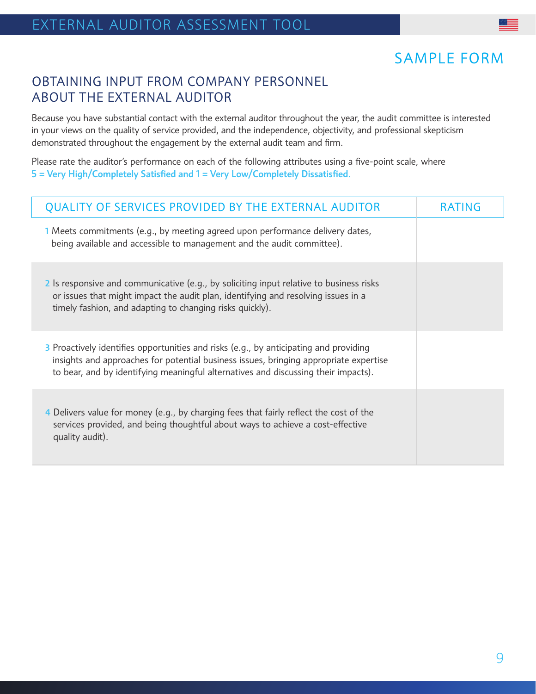### SAMPLE FORM

#### OBTAINING INPUT FROM COMPANY PERSONNEL ABOUT THE EXTERNAL AUDITOR

Because you have substantial contact with the external auditor throughout the year, the audit committee is interested in your views on the quality of service provided, and the independence, objectivity, and professional skepticism demonstrated throughout the engagement by the external audit team and firm.

Please rate the auditor's performance on each of the following attributes using a five-point scale, where 5 = Very High/Completely Satisfied and 1 = Very Low/Completely Dissatisfied.

| QUALITY OF SERVICES PROVIDED BY THE EXTERNAL AUDITOR                                                                                                                                                                                                                 | <b>RATING</b> |
|----------------------------------------------------------------------------------------------------------------------------------------------------------------------------------------------------------------------------------------------------------------------|---------------|
| 1 Meets commitments (e.g., by meeting agreed upon performance delivery dates,<br>being available and accessible to management and the audit committee).                                                                                                              |               |
| 2 Is responsive and communicative (e.g., by soliciting input relative to business risks<br>or issues that might impact the audit plan, identifying and resolving issues in a<br>timely fashion, and adapting to changing risks quickly).                             |               |
| 3 Proactively identifies opportunities and risks (e.g., by anticipating and providing<br>insights and approaches for potential business issues, bringing appropriate expertise<br>to bear, and by identifying meaningful alternatives and discussing their impacts). |               |
| 4 Delivers value for money (e.g., by charging fees that fairly reflect the cost of the<br>services provided, and being thoughtful about ways to achieve a cost-effective<br>quality audit).                                                                          |               |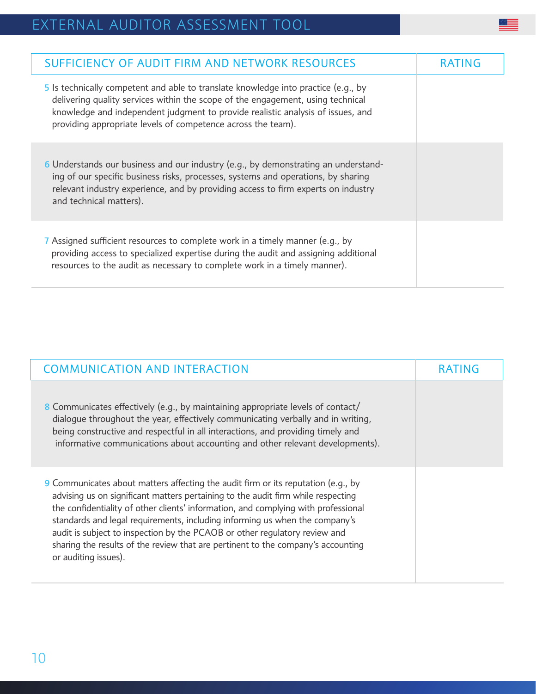| SUFFICIENCY OF AUDIT FIRM AND NETWORK RESOURCES                                                                                                                                                                                                                                                                          | <b>RAIING</b> |
|--------------------------------------------------------------------------------------------------------------------------------------------------------------------------------------------------------------------------------------------------------------------------------------------------------------------------|---------------|
| 5 Is technically competent and able to translate knowledge into practice (e.g., by<br>delivering quality services within the scope of the engagement, using technical<br>knowledge and independent judgment to provide realistic analysis of issues, and<br>providing appropriate levels of competence across the team). |               |
| 6 Understands our business and our industry (e.g., by demonstrating an understand-<br>ing of our specific business risks, processes, systems and operations, by sharing<br>relevant industry experience, and by providing access to firm experts on industry<br>and technical matters).                                  |               |
| 7 Assigned sufficient resources to complete work in a timely manner (e.g., by<br>providing access to specialized expertise during the audit and assigning additional<br>resources to the audit as necessary to complete work in a timely manner).                                                                        |               |

 $\equiv$ 

| <b>COMMUNICATION AND INTERACTION</b>                                                                                                                                                                                                                                                                                                                                                                                                                                                                                                 | <b>RATING</b> |
|--------------------------------------------------------------------------------------------------------------------------------------------------------------------------------------------------------------------------------------------------------------------------------------------------------------------------------------------------------------------------------------------------------------------------------------------------------------------------------------------------------------------------------------|---------------|
| 8 Communicates effectively (e.g., by maintaining appropriate levels of contact/<br>dialogue throughout the year, effectively communicating verbally and in writing,<br>being constructive and respectful in all interactions, and providing timely and<br>informative communications about accounting and other relevant developments).                                                                                                                                                                                              |               |
| 9 Communicates about matters affecting the audit firm or its reputation (e.g., by<br>advising us on significant matters pertaining to the audit firm while respecting<br>the confidentiality of other clients' information, and complying with professional<br>standards and legal requirements, including informing us when the company's<br>audit is subject to inspection by the PCAOB or other regulatory review and<br>sharing the results of the review that are pertinent to the company's accounting<br>or auditing issues). |               |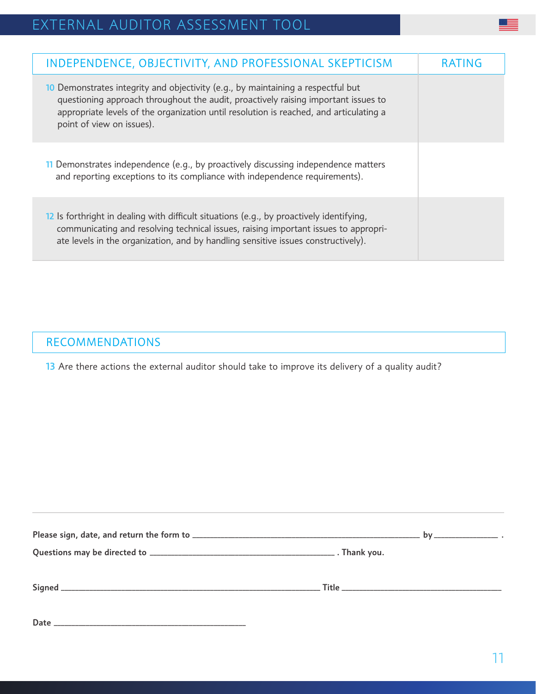| INDEPENDENCE, OBJECTIVITY, AND PROFESSIONAL SKEPTICISM                                                                                                                                                                                                                                        | <b>RAIING</b> |
|-----------------------------------------------------------------------------------------------------------------------------------------------------------------------------------------------------------------------------------------------------------------------------------------------|---------------|
| 10 Demonstrates integrity and objectivity (e.g., by maintaining a respectful but<br>questioning approach throughout the audit, proactively raising important issues to<br>appropriate levels of the organization until resolution is reached, and articulating a<br>point of view on issues). |               |
| 11 Demonstrates independence (e.g., by proactively discussing independence matters<br>and reporting exceptions to its compliance with independence requirements).                                                                                                                             |               |
| 12 Is forthright in dealing with difficult situations (e.g., by proactively identifying,<br>communicating and resolving technical issues, raising important issues to appropri-<br>ate levels in the organization, and by handling sensitive issues constructively).                          |               |

#### RECOMMENDATIONS

13 Are there actions the external auditor should take to improve its delivery of a quality audit?

| Date<br><u> 1989 - Johann John Stoff, deutscher Stoff als der Stoff als der Stoff als der Stoff als der Stoff als der Stoff</u> |  |
|---------------------------------------------------------------------------------------------------------------------------------|--|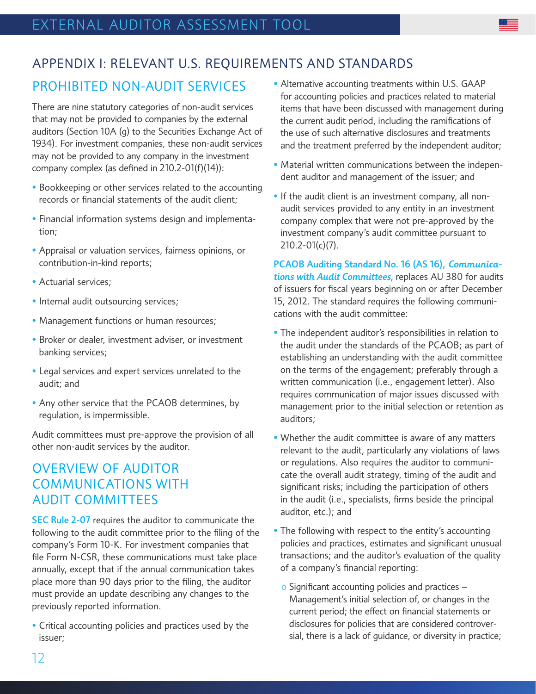### APPENDIX I: RELEVANT U.S. REQUIREMENTS AND STANDARDS

#### PROHIBITED NON-AUDIT SERVICES

There are nine statutory categories of non-audit services that may not be provided to companies by the external auditors (Section 10A (g) to the Securities Exchange Act of 1934). For investment companies, these non-audit services may not be provided to any company in the investment company complex (as defined in 210.2-01(f)(14)):

- Bookkeeping or other services related to the accounting records or financial statements of the audit client;
- Financial information systems design and implementation;
- Appraisal or valuation services, fairness opinions, or contribution-in-kind reports;
- Actuarial services;
- Internal audit outsourcing services;
- Management functions or human resources;
- Broker or dealer, investment adviser, or investment banking services;
- Legal services and expert services unrelated to the audit; and
- Any other service that the PCAOB determines, by regulation, is impermissible.

Audit committees must pre-approve the provision of all other non-audit services by the auditor.

#### OVERVIEW OF AUDITOR COMMUNICATIONS WITH AUDIT COMMITTEES

SEC Rule 2-07 requires the auditor to communicate the following to the audit committee prior to the filing of the company's Form 10-K. For investment companies that file Form N-CSR, these communications must take place annually, except that if the annual communication takes place more than 90 days prior to the filing, the auditor must provide an update describing any changes to the previously reported information.

• Critical accounting policies and practices used by the issuer;

- Alternative accounting treatments within U.S. GAAP for accounting policies and practices related to material items that have been discussed with management during the current audit period, including the ramifications of the use of such alternative disclosures and treatments and the treatment preferred by the independent auditor;
- Material written communications between the independent auditor and management of the issuer; and
- If the audit client is an investment company, all nonaudit services provided to any entity in an investment company complex that were not pre-approved by the investment company's audit committee pursuant to 210.2-01(c)(7).

PCAOB Auditing Standard No. 16 (AS 16), *Communications with Audit Committees,* replaces AU 380 for audits of issuers for fiscal years beginning on or after December 15, 2012. The standard requires the following communications with the audit committee:

- The independent auditor's responsibilities in relation to the audit under the standards of the PCAOB; as part of establishing an understanding with the audit committee on the terms of the engagement; preferably through a written communication (i.e., engagement letter). Also requires communication of major issues discussed with management prior to the initial selection or retention as auditors;
- Whether the audit committee is aware of any matters relevant to the audit, particularly any violations of laws or regulations. Also requires the auditor to communicate the overall audit strategy, timing of the audit and significant risks; including the participation of others in the audit (i.e., specialists, firms beside the principal auditor, etc.); and
- The following with respect to the entity's accounting policies and practices, estimates and significant unusual transactions; and the auditor's evaluation of the quality of a company's financial reporting:
	- o Significant accounting policies and practices Management's initial selection of, or changes in the current period; the effect on financial statements or disclosures for policies that are considered controversial, there is a lack of guidance, or diversity in practice;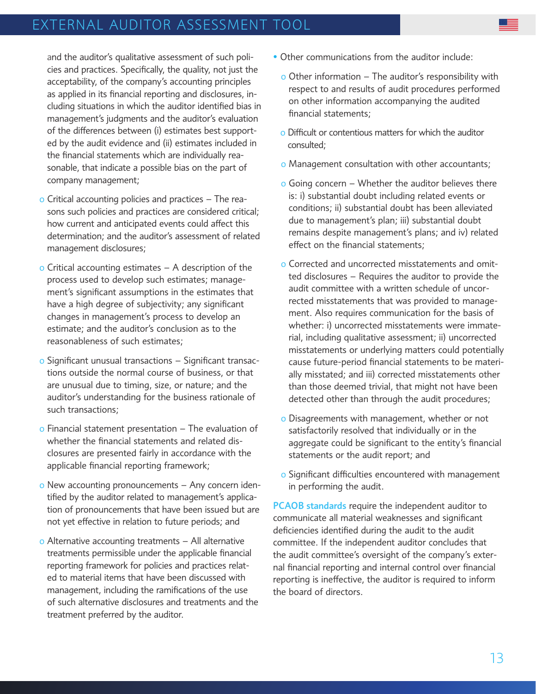and the auditor's qualitative assessment of such policies and practices. Specifically, the quality, not just the acceptability, of the company's accounting principles as applied in its financial reporting and disclosures, including situations in which the auditor identified bias in management's judgments and the auditor's evaluation of the differences between (i) estimates best supported by the audit evidence and (ii) estimates included in the financial statements which are individually reasonable, that indicate a possible bias on the part of company management;

- o Critical accounting policies and practices The reasons such policies and practices are considered critical; how current and anticipated events could affect this determination; and the auditor's assessment of related management disclosures;
- $\circ$  Critical accounting estimates  $-$  A description of the process used to develop such estimates; management's significant assumptions in the estimates that have a high degree of subjectivity; any significant changes in management's process to develop an estimate; and the auditor's conclusion as to the reasonableness of such estimates;
- o Significant unusual transactions Significant transactions outside the normal course of business, or that are unusual due to timing, size, or nature; and the auditor's understanding for the business rationale of such transactions;
- o Financial statement presentation The evaluation of whether the financial statements and related disclosures are presented fairly in accordance with the applicable financial reporting framework;
- o New accounting pronouncements Any concern identified by the auditor related to management's application of pronouncements that have been issued but are not yet effective in relation to future periods; and
- o Alternative accounting treatments All alternative treatments permissible under the applicable financial reporting framework for policies and practices related to material items that have been discussed with management, including the ramifications of the use of such alternative disclosures and treatments and the treatment preferred by the auditor.
- Other communications from the auditor include:
	- $\circ$  Other information The auditor's responsibility with respect to and results of audit procedures performed on other information accompanying the audited financial statements;
	- o Difficult or contentious matters for which the auditor consulted;
	- o Management consultation with other accountants;
	- o Going concern Whether the auditor believes there is: i) substantial doubt including related events or conditions; ii) substantial doubt has been alleviated due to management's plan; iii) substantial doubt remains despite management's plans; and iv) related effect on the financial statements;
	- o Corrected and uncorrected misstatements and omitted disclosures – Requires the auditor to provide the audit committee with a written schedule of uncorrected misstatements that was provided to management. Also requires communication for the basis of whether: i) uncorrected misstatements were immaterial, including qualitative assessment; ii) uncorrected misstatements or underlying matters could potentially cause future-period financial statements to be materially misstated; and iii) corrected misstatements other than those deemed trivial, that might not have been detected other than through the audit procedures;
	- o Disagreements with management, whether or not satisfactorily resolved that individually or in the aggregate could be significant to the entity's financial statements or the audit report; and
	- o Significant difficulties encountered with management in performing the audit.

PCAOB standards require the independent auditor to communicate all material weaknesses and significant deficiencies identified during the audit to the audit committee. If the independent auditor concludes that the audit committee's oversight of the company's external financial reporting and internal control over financial reporting is ineffective, the auditor is required to inform the board of directors.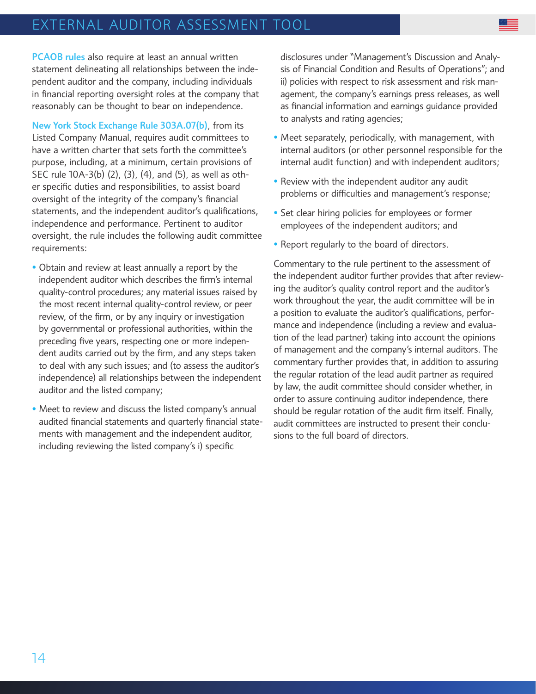PCAOB rules also require at least an annual written statement delineating all relationships between the independent auditor and the company, including individuals in financial reporting oversight roles at the company that reasonably can be thought to bear on independence.

New York Stock Exchange Rule 303A.07(b), from its Listed Company Manual, requires audit committees to have a written charter that sets forth the committee's purpose, including, at a minimum, certain provisions of SEC rule 10A-3(b) (2), (3), (4), and (5), as well as other specific duties and responsibilities, to assist board oversight of the integrity of the company's financial statements, and the independent auditor's qualifications, independence and performance. Pertinent to auditor oversight, the rule includes the following audit committee requirements:

- Obtain and review at least annually a report by the independent auditor which describes the firm's internal quality-control procedures; any material issues raised by the most recent internal quality-control review, or peer review, of the firm, or by any inquiry or investigation by governmental or professional authorities, within the preceding five years, respecting one or more independent audits carried out by the firm, and any steps taken to deal with any such issues; and (to assess the auditor's independence) all relationships between the independent auditor and the listed company;
- Meet to review and discuss the listed company's annual audited financial statements and quarterly financial statements with management and the independent auditor, including reviewing the listed company's i) specific

disclosures under "Management's Discussion and Analysis of Financial Condition and Results of Operations"; and ii) policies with respect to risk assessment and risk management, the company's earnings press releases, as well as financial information and earnings guidance provided to analysts and rating agencies;

- Meet separately, periodically, with management, with internal auditors (or other personnel responsible for the internal audit function) and with independent auditors;
- Review with the independent auditor any audit problems or difficulties and management's response;
- Set clear hiring policies for employees or former employees of the independent auditors; and
- Report regularly to the board of directors.

Commentary to the rule pertinent to the assessment of the independent auditor further provides that after reviewing the auditor's quality control report and the auditor's work throughout the year, the audit committee will be in a position to evaluate the auditor's qualifications, performance and independence (including a review and evaluation of the lead partner) taking into account the opinions of management and the company's internal auditors. The commentary further provides that, in addition to assuring the regular rotation of the lead audit partner as required by law, the audit committee should consider whether, in order to assure continuing auditor independence, there should be regular rotation of the audit firm itself. Finally, audit committees are instructed to present their conclusions to the full board of directors.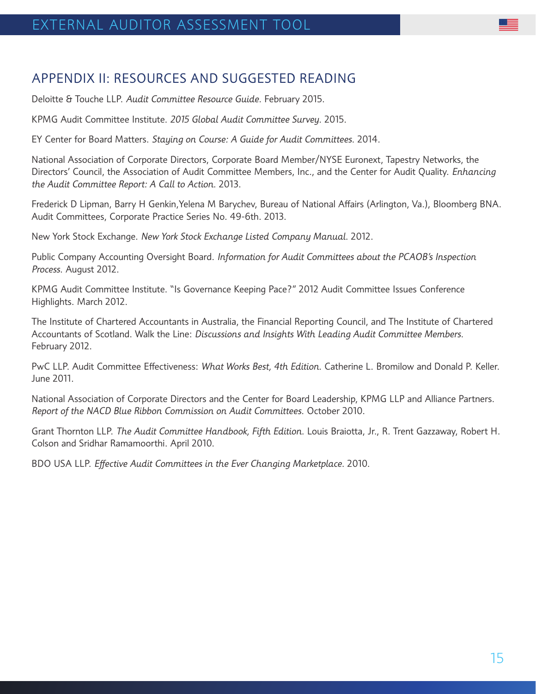#### APPENDIX II: RESOURCES AND SUGGESTED READING

Deloitte & Touche LLP. *Audit Committee Resource Guide*. February 2015.

KPMG Audit Committee Institute. *2015 Global Audit Committee Survey*. 2015.

EY Center for Board Matters. *Staying on Course: A Guide for Audit Committees*. 2014.

National Association of Corporate Directors, Corporate Board Member/NYSE Euronext, Tapestry Networks, the Directors' Council, the Association of Audit Committee Members, Inc., and the Center for Audit Quality. *Enhancing the Audit Committee Report: A Call to Action*. 2013.

Frederick D Lipman, Barry H Genkin,Yelena M Barychev, Bureau of National Affairs (Arlington, Va.), Bloomberg BNA. Audit Committees, Corporate Practice Series No. 49-6th. 2013.

New York Stock Exchange. *New York Stock Exchange Listed Company Manual*. 2012.

Public Company Accounting Oversight Board. *Information for Audit Committees about the PCAOB's Inspection Process*. August 2012.

KPMG Audit Committee Institute. "Is Governance Keeping Pace?" 2012 Audit Committee Issues Conference Highlights. March 2012.

The Institute of Chartered Accountants in Australia, the Financial Reporting Council, and The Institute of Chartered Accountants of Scotland. Walk the Line: *Discussions and Insights With Leading Audit Committee Members*. February 2012.

PwC LLP. Audit Committee Effectiveness: *What Works Best, 4th Edition*. Catherine L. Bromilow and Donald P. Keller. June 2011.

National Association of Corporate Directors and the Center for Board Leadership, KPMG LLP and Alliance Partners. *Report of the NACD Blue Ribbon Commission on Audit Committees*. October 2010.

Grant Thornton LLP. *The Audit Committee Handbook, Fifth Edition*. Louis Braiotta, Jr., R. Trent Gazzaway, Robert H. Colson and Sridhar Ramamoorthi. April 2010.

BDO USA LLP. *Effective Audit Committees in the Ever Changing Marketplace*. 2010.